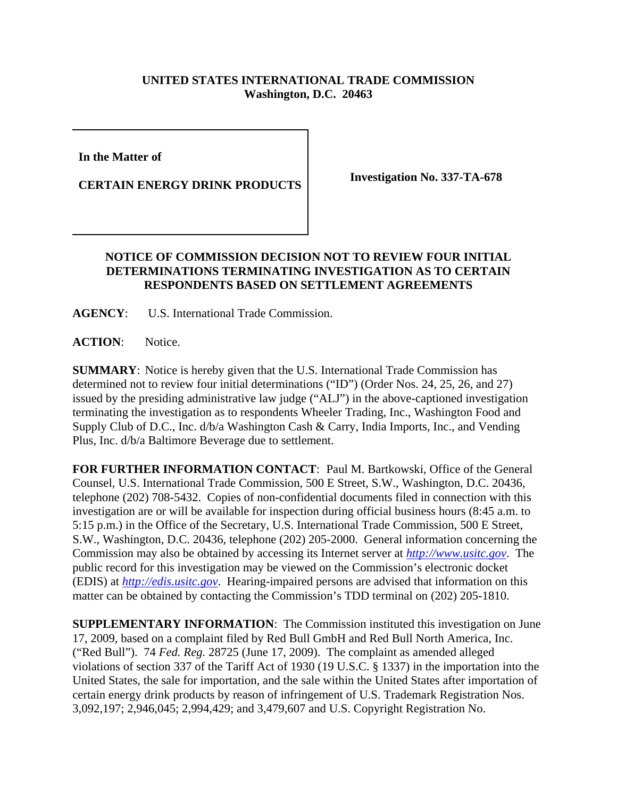## **UNITED STATES INTERNATIONAL TRADE COMMISSION Washington, D.C. 20463**

**In the Matter of** 

**CERTAIN ENERGY DRINK PRODUCTS Investigation No. 337-TA-678**

## **NOTICE OF COMMISSION DECISION NOT TO REVIEW FOUR INITIAL DETERMINATIONS TERMINATING INVESTIGATION AS TO CERTAIN RESPONDENTS BASED ON SETTLEMENT AGREEMENTS**

**AGENCY**: U.S. International Trade Commission.

ACTION: Notice.

**SUMMARY**: Notice is hereby given that the U.S. International Trade Commission has determined not to review four initial determinations ("ID") (Order Nos. 24, 25, 26, and 27) issued by the presiding administrative law judge ("ALJ") in the above-captioned investigation terminating the investigation as to respondents Wheeler Trading, Inc., Washington Food and Supply Club of D.C., Inc. d/b/a Washington Cash & Carry, India Imports, Inc., and Vending Plus, Inc. d/b/a Baltimore Beverage due to settlement.

**FOR FURTHER INFORMATION CONTACT**: Paul M. Bartkowski, Office of the General Counsel, U.S. International Trade Commission, 500 E Street, S.W., Washington, D.C. 20436, telephone (202) 708-5432. Copies of non-confidential documents filed in connection with this investigation are or will be available for inspection during official business hours (8:45 a.m. to 5:15 p.m.) in the Office of the Secretary, U.S. International Trade Commission, 500 E Street, S.W., Washington, D.C. 20436, telephone (202) 205-2000. General information concerning the Commission may also be obtained by accessing its Internet server at *http://www.usitc.gov*. The public record for this investigation may be viewed on the Commission's electronic docket (EDIS) at *http://edis.usitc.gov*. Hearing-impaired persons are advised that information on this matter can be obtained by contacting the Commission's TDD terminal on (202) 205-1810.

**SUPPLEMENTARY INFORMATION**: The Commission instituted this investigation on June 17, 2009, based on a complaint filed by Red Bull GmbH and Red Bull North America, Inc. ("Red Bull"). 74 *Fed. Reg.* 28725 (June 17, 2009). The complaint as amended alleged violations of section 337 of the Tariff Act of 1930 (19 U.S.C. § 1337) in the importation into the United States, the sale for importation, and the sale within the United States after importation of certain energy drink products by reason of infringement of U.S. Trademark Registration Nos. 3,092,197; 2,946,045; 2,994,429; and 3,479,607 and U.S. Copyright Registration No.